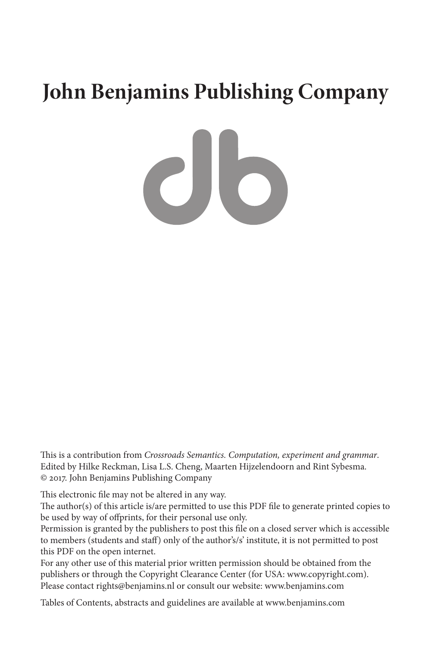# **John Benjamins Publishing Company**

CIO

This is a contribution from *Crossroads Semantics. Computation, experiment and grammar*. Edited by Hilke Reckman, Lisa L.S. Cheng, Maarten Hijzelendoorn and Rint Sybesma. © 2017. John Benjamins Publishing Company

This electronic file may not be altered in any way.

The author(s) of this article is/are permitted to use this PDF file to generate printed copies to be used by way of offprints, for their personal use only.

Permission is granted by the publishers to post this file on a closed server which is accessible to members (students and staff) only of the author's/s' institute, it is not permitted to post this PDF on the open internet.

For any other use of this material prior written permission should be obtained from the publishers or through the Copyright Clearance Center (for USA: [www.copyright.com](http://www.copyright.com)). Please contact [rights@benjamins.nl](mailto:rights@benjamins.nl) or consult our website: [www.benjamins.com](http://www.benjamins.com)

Tables of Contents, abstracts and guidelines are available at [www.benjamins.com](http://www.benjamins.com)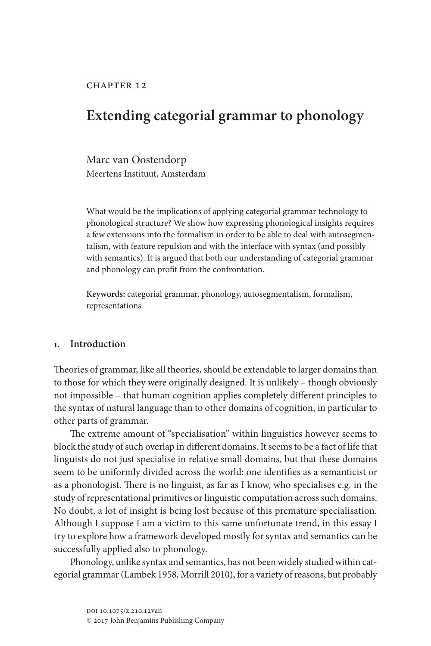# <span id="page-1-0"></span>**Extending categorial grammar to phonology**

Marc van Oostendorp Meertens Instituut, Amsterdam

What would be the implications of applying categorial grammar technology to phonological structure? We show how expressing phonological insights requires a few extensions into the formalism in order to be able to deal with autosegmentalism, with feature repulsion and with the interface with syntax (and possibly with semantics). It is argued that both our understanding of categorial grammar and phonology can profit from the confrontation.

**Keywords:** categorial grammar, phonology, autosegmentalism, formalism, representations

#### **1. Introduction**

Theories of grammar, like all theories, should be extendable to larger domains than to those for which they were originally designed. It is unlikely – though obviously not impossible – that human cognition applies completely different principles to the syntax of natural language than to other domains of cognition, in particular to other parts of grammar.

The extreme amount of "specialisation" within linguistics however seems to block the study of such overlap in different domains. It seems to be a fact of life that linguists do not just specialise in relative small domains, but that these domains seem to be uniformly divided across the world: one identifies as a semanticist or as a phonologist. There is no linguist, as far as I know, who specialises e.g. in the study of representational primitives or linguistic computation across such domains. No doubt, a lot of insight is being lost because of this premature specialisation. Although I suppose I am a victim to this same unfortunate trend, in this essay I try to explore how a framework developed mostly for syntax and semantics can be successfully applied also to phonology.

Phonology, unlike syntax and semantics, has not been widely studied within categorial grammar ([Lambek 1958,](#page-12-0) [Morrill 2010\)](#page-13-0), for a variety of reasons, but probably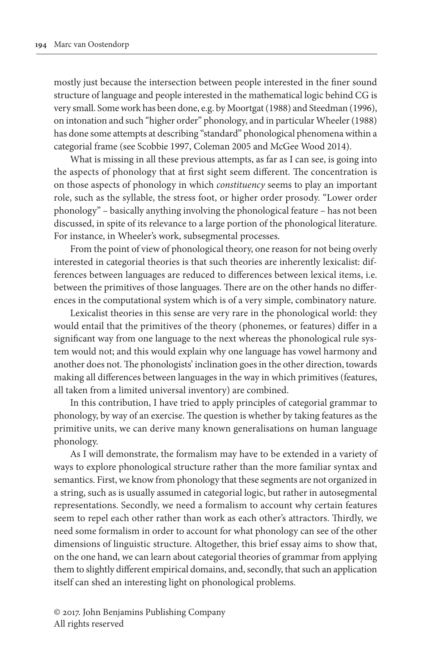mostly just because the intersection between people interested in the finer sound structure of language and people interested in the mathematical logic behind CG is very small. Some work has been done, e.g. by [Moortgat \(1988\)](#page-13-1) and [Steedman \(1996\)](#page-13-2), on intonation and such "higher order" phonology, and in particular [Wheeler \(1988\)](#page-13-3)  has done some attempts at describing "standard" phonological phenomena within a categorial frame (see [Scobbie 1997](#page-13-4), [Coleman 2005](#page-12-1) and [McGee Wood 2014](#page-13-5)).

What is missing in all these previous attempts, as far as I can see, is going into the aspects of phonology that at first sight seem different. The concentration is on those aspects of phonology in which *constituency* seems to play an important role, such as the syllable, the stress foot, or higher order prosody. "Lower order phonology" – basically anything involving the phonological feature – has not been discussed, in spite of its relevance to a large portion of the phonological literature. For instance, in Wheeler's work, subsegmental processes.

From the point of view of phonological theory, one reason for not being overly interested in categorial theories is that such theories are inherently lexicalist: differences between languages are reduced to differences between lexical items, i.e. between the primitives of those languages. There are on the other hands no differences in the computational system which is of a very simple, combinatory nature.

Lexicalist theories in this sense are very rare in the phonological world: they would entail that the primitives of the theory (phonemes, or features) differ in a significant way from one language to the next whereas the phonological rule system would not; and this would explain why one language has vowel harmony and another does not. The phonologists' inclination goes in the other direction, towards making all differences between languages in the way in which primitives (features, all taken from a limited universal inventory) are combined.

In this contribution, I have tried to apply principles of categorial grammar to phonology, by way of an exercise. The question is whether by taking features as the primitive units, we can derive many known generalisations on human language phonology.

As I will demonstrate, the formalism may have to be extended in a variety of ways to explore phonological structure rather than the more familiar syntax and semantics. First, we know from phonology that these segments are not organized in a string, such as is usually assumed in categorial logic, but rather in autosegmental representations. Secondly, we need a formalism to account why certain features seem to repel each other rather than work as each other's attractors. Thirdly, we need some formalism in order to account for what phonology can see of the other dimensions of linguistic structure. Altogether, this brief essay aims to show that, on the one hand, we can learn about categorial theories of grammar from applying them to slightly different empirical domains, and, secondly, that such an application itself can shed an interesting light on phonological problems.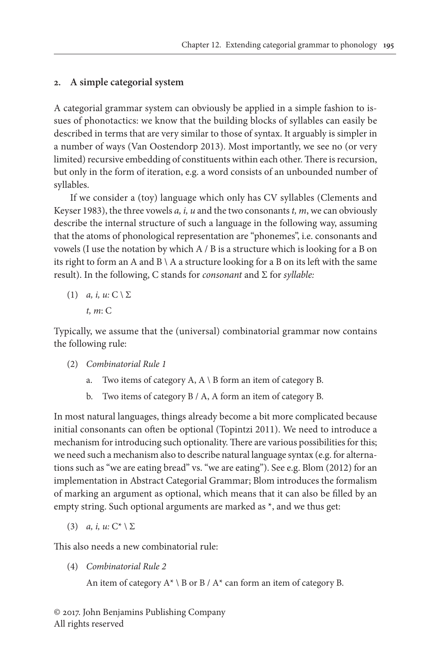### **2. A simple categorial system**

A categorial grammar system can obviously be applied in a simple fashion to issues of phonotactics: we know that the building blocks of syllables can easily be described in terms that are very similar to those of syntax. It arguably is simpler in a number of ways [\(Van Oostendorp 2013](#page-13-6)). Most importantly, we see no (or very limited) recursive embedding of constituents within each other. There is recursion, but only in the form of iteration, e.g. a word consists of an unbounded number of syllables.

If we consider a (toy) language which only has CV syllables [\(Clements and](#page-12-2)  [Keyser 1983](#page-12-2)), the three vowels *a, i, u* and the two consonants *t, m*, we can obviously describe the internal structure of such a language in the following way, assuming that the atoms of phonological representation are "phonemes", i.e. consonants and vowels (I use the notation by which A / B is a structure which is looking for a B on its right to form an A and  $B \setminus A$  a structure looking for a B on its left with the same result). In the following, C stands for *consonant* and Σ for *syllable:*

(1) *a, i, u:*  $C \setminus \Sigma$ *t, m*: C

Typically, we assume that the (universal) combinatorial grammar now contains the following rule:

- (2) *Combinatorial Rule 1*
	- a. Two items of category A,  $A \setminus B$  form an item of category B.
	- b. Two items of category B / A, A form an item of category B.

In most natural languages, things already become a bit more complicated because initial consonants can often be optional ([Topintzi 2011](#page-13-7)). We need to introduce a mechanism for introducing such optionality. There are various possibilities for this; we need such a mechanism also to describe natural language syntax (e.g. for alternations such as "we are eating bread" vs. "we are eating"). See e.g. [Blom \(2012\)](#page-12-3) for an implementation in Abstract Categorial Grammar; Blom introduces the formalism of marking an argument as optional, which means that it can also be filled by an empty string. Such optional arguments are marked as \*, and we thus get:

(3) *a, i, u:* C\* \ Σ

This also needs a new combinatorial rule:

(4) *Combinatorial Rule 2*

An item of category  $A^* \setminus B$  or  $B / A^*$  can form an item of category B.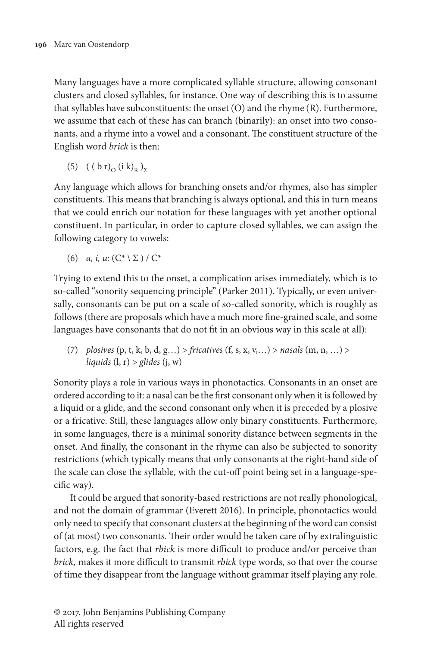Many languages have a more complicated syllable structure, allowing consonant clusters and closed syllables, for instance. One way of describing this is to assume that syllables have subconstituents: the onset (O) and the rhyme (R). Furthermore, we assume that each of these has can branch (binarily): an onset into two consonants, and a rhyme into a vowel and a consonant. The constituent structure of the English word *brick* is then:

(5)  $((b r)_{\Omega} (i k)_{R})_{\Sigma}$ 

Any language which allows for branching onsets and/or rhymes, also has simpler constituents. This means that branching is always optional, and this in turn means that we could enrich our notation for these languages with yet another optional constituent. In particular, in order to capture closed syllables, we can assign the following category to vowels:

(6) *a, i, u:*  $(C^* \setminus \Sigma) / C^*$ 

Trying to extend this to the onset, a complication arises immediately, which is to so-called "sonority sequencing principle" [\(Parker 2011](#page-13-8)). Typically, or even universally, consonants can be put on a scale of so-called sonority, which is roughly as follows (there are proposals which have a much more fine-grained scale, and some languages have consonants that do not fit in an obvious way in this scale at all):

(7) *plosives* (p, t, k, b, d, g…) > *fricatives* (f, s, x, v,…) > *nasals* (m, n, …) > *liquids* (l, r) > *glides* (j, w)

Sonority plays a role in various ways in phonotactics. Consonants in an onset are ordered according to it: a nasal can be the first consonant only when it is followed by a liquid or a glide, and the second consonant only when it is preceded by a plosive or a fricative. Still, these languages allow only binary constituents. Furthermore, in some languages, there is a minimal sonority distance between segments in the onset. And finally, the consonant in the rhyme can also be subjected to sonority restrictions (which typically means that only consonants at the right-hand side of the scale can close the syllable, with the cut-off point being set in a language-specific way).

It could be argued that sonority-based restrictions are not really phonological, and not the domain of grammar ([Everett 2016](#page-12-4)). In principle, phonotactics would only need to specify that consonant clusters at the beginning of the word can consist of (at most) two consonants. Their order would be taken care of by extralinguistic factors, e.g. the fact that *rbick* is more difficult to produce and/or perceive than *brick,* makes it more difficult to transmit *rbick* type words, so that over the course of time they disappear from the language without grammar itself playing any role.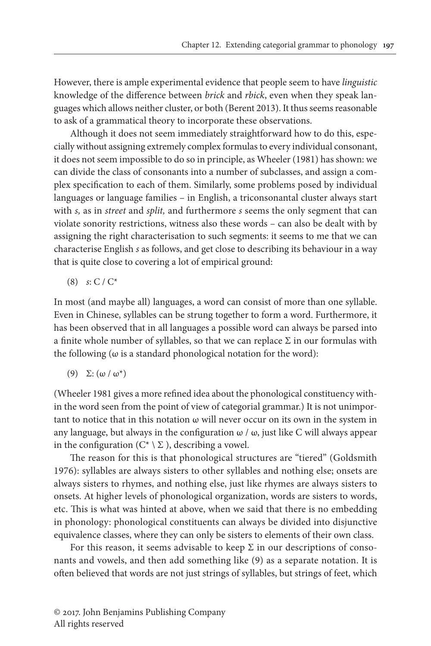However, there is ample experimental evidence that people seem to have *linguistic* knowledge of the difference between *brick* and *rbick*, even when they speak languages which allows neither cluster, or both [\(Berent 2013\)](#page-12-5). It thus seems reasonable to ask of a grammatical theory to incorporate these observations.

Although it does not seem immediately straightforward how to do this, especially without assigning extremely complex formulas to every individual consonant, it does not seem impossible to do so in principle, as [Wheeler \(1981\)](#page-13-9) has shown: we can divide the class of consonants into a number of subclasses, and assign a complex specification to each of them. Similarly, some problems posed by individual languages or language families – in English, a triconsonantal cluster always start with *s,* as in *street* and *split,* and furthermore *s* seems the only segment that can violate sonority restrictions, witness also these words – can also be dealt with by assigning the right characterisation to such segments: it seems to me that we can characterise English *s* as follows, and get close to describing its behaviour in a way that is quite close to covering a lot of empirical ground:

(8) *s*: C / C\*

In most (and maybe all) languages, a word can consist of more than one syllable. Even in Chinese, syllables can be strung together to form a word. Furthermore, it has been observed that in all languages a possible word can always be parsed into a finite whole number of syllables, so that we can replace  $\Sigma$  in our formulas with the following (ω is a standard phonological notation for the word):

(9)  $\Sigma$ : (ω / ω<sup>\*</sup>)

[\(Wheeler 1981](#page-13-9) gives a more refined idea about the phonological constituency within the word seen from the point of view of categorial grammar.) It is not unimportant to notice that in this notation  $\omega$  will never occur on its own in the system in any language, but always in the configuration  $\omega / \omega$ , just like C will always appear in the configuration ( $C^* \setminus \Sigma$ ), describing a vowel.

The reason for this is that phonological structures are "tiered" ([Goldsmith](#page-12-6)  [1976](#page-12-6)): syllables are always sisters to other syllables and nothing else; onsets are always sisters to rhymes, and nothing else, just like rhymes are always sisters to onsets. At higher levels of phonological organization, words are sisters to words, etc. This is what was hinted at above, when we said that there is no embedding in phonology: phonological constituents can always be divided into disjunctive equivalence classes, where they can only be sisters to elements of their own class.

For this reason, it seems advisable to keep  $\Sigma$  in our descriptions of consonants and vowels, and then add something like [\(9\)](#page-1-0) as a separate notation. It is often believed that words are not just strings of syllables, but strings of feet, which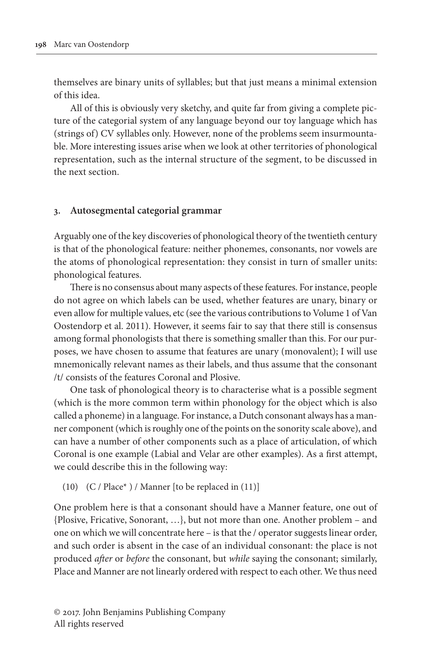themselves are binary units of syllables; but that just means a minimal extension of this idea.

All of this is obviously very sketchy, and quite far from giving a complete picture of the categorial system of any language beyond our toy language which has (strings of) CV syllables only. However, none of the problems seem insurmountable. More interesting issues arise when we look at other territories of phonological representation, such as the internal structure of the segment, to be discussed in the next section.

#### **3. Autosegmental categorial grammar**

Arguably one of the key discoveries of phonological theory of the twentieth century is that of the phonological feature: neither phonemes, consonants, nor vowels are the atoms of phonological representation: they consist in turn of smaller units: phonological features.

There is no consensus about many aspects of these features. For instance, people do not agree on which labels can be used, whether features are unary, binary or even allow for multiple values, etc (see the various contributions to Volume 1 of [Van](#page-13-10)  [Oostendorp et al. 2011\)](#page-13-10). However, it seems fair to say that there still is consensus among formal phonologists that there is something smaller than this. For our purposes, we have chosen to assume that features are unary (monovalent); I will use mnemonically relevant names as their labels, and thus assume that the consonant /t/ consists of the features Coronal and Plosive.

One task of phonological theory is to characterise what is a possible segment (which is the more common term within phonology for the object which is also called a phoneme) in a language. For instance, a Dutch consonant always has a manner component (which is roughly one of the points on the sonority scale above), and can have a number of other components such as a place of articulation, of which Coronal is one example (Labial and Velar are other examples). As a first attempt, we could describe this in the following way:

(10) (C / Place\* ) / Manner [to be replaced in (11)]

One problem here is that a consonant should have a Manner feature, one out of {Plosive, Fricative, Sonorant, …}, but not more than one. Another problem – and one on which we will concentrate here – is that the / operator suggests linear order, and such order is absent in the case of an individual consonant: the place is not produced *after* or *before* the consonant, but *while* saying the consonant; similarly, Place and Manner are not linearly ordered with respect to each other. We thus need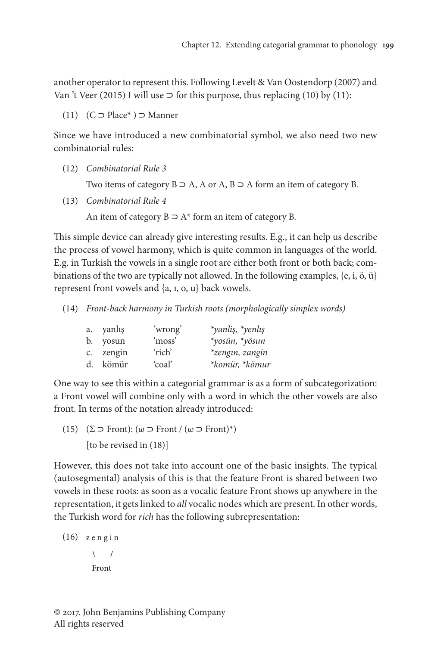another operator to represent this. Following [Levelt & Van Oostendorp \(2007\)](#page-13-11) and Van 't [Veer \(2015\)](#page-13-12) I will use  $\supset$  for this purpose, thus replacing ([10\)](#page-1-0) by ([11\)](#page-1-0):

(11) (C ⊃ Place\* ) ⊃ Manner

Since we have introduced a new combinatorial symbol, we also need two new combinatorial rules:

(12) *Combinatorial Rule 3*

Two items of category  $B \supset A$ , A or A,  $B \supset A$  form an item of category B.

(13) *Combinatorial Rule 4*

An item of category  $B \supset A^*$  form an item of category B.

This simple device can already give interesting results. E.g., it can help us describe the process of vowel harmony, which is quite common in languages of the world. E.g. in Turkish the vowels in a single root are either both front or both back; combinations of the two are typically not allowed. In the following examples, {e, i, ö, ü} represent front vowels and {a, ı, o, u} back vowels.

(14) *Front-back harmony in Turkish roots (morphologically simplex words)*

| a. yanlış | 'wrong' | *yanliş, *yenlış |
|-----------|---------|------------------|
| b. yosun  | 'moss'  | *yosün, *yösun   |
| c. zengin | 'rich'  | *zengin, zangin  |
| d. kömür  | 'coal'  | *komür, *kömur   |

One way to see this within a categorial grammar is as a form of subcategorization: a Front vowel will combine only with a word in which the other vowels are also front. In terms of the notation already introduced:

(15) ( $\Sigma \supset$  Front): ( $\omega \supset$  Front / ( $\omega \supset$  Front)\*) [to be revised in (18)]

However, this does not take into account one of the basic insights. The typical (autosegmental) analysis of this is that the feature Front is shared between two vowels in these roots: as soon as a vocalic feature Front shows up anywhere in the representation, it gets linked to *all* vocalic nodes which are present. In other words, the Turkish word for *rich* has the following subrepresentation:

```
(16)
z e n g i n\sqrt{ }Front
```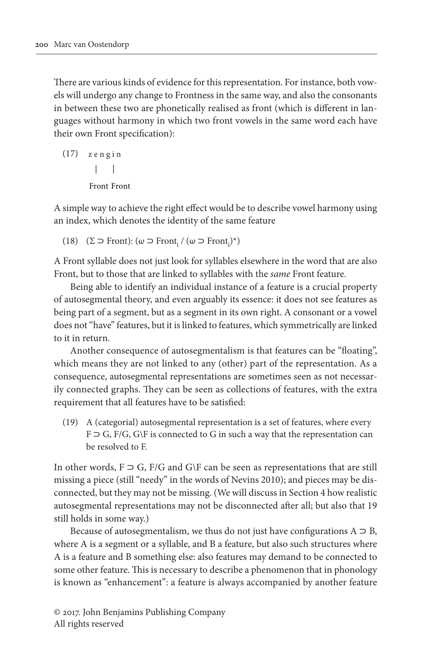There are various kinds of evidence for this representation. For instance, both vowels will undergo any change to Frontness in the same way, and also the consonants in between these two are phonetically realised as front (which is different in languages without harmony in which two front vowels in the same word each have their own Front specification):

$$
(17) \quad z \in n \text{ g in}
$$
\n
$$
\begin{array}{c|c}\n & \text{1} \\
 & \text{1} \\
 & \text{1} \\
 & \text{1} \\
 & \text{1} \\
 & \text{1} \\
 & \text{1} \\
 & \text{1} \\
 & \text{1} \\
 & \text{1} \\
 & \text{1} \\
 & \text{1} \\
 & \text{1} \\
 & \text{1} \\
 & \text{1} \\
 & \text{1} \\
 & \text{1} \\
 & \text{1} \\
 & \text{1} \\
 & \text{1} \\
 & \text{1} \\
 & \text{1} \\
 & \text{1} \\
 & \text{1} \\
 & \text{1} \\
 & \text{1} \\
 & \text{1} \\
 & \text{1} \\
 & \text{1} \\
 & \text{1} \\
 & \text{1} \\
 & \text{1} \\
 & \text{1} \\
 & \text{1} \\
 & \text{1} \\
 & \text{1} \\
 & \text{1} \\
 & \text{1} \\
 & \text{1} \\
 & \text{1} \\
 & \text{1} \\
 & \text{1} \\
 & \text{1} \\
 & \text{1} \\
 & \text{1} \\
 & \text{1} \\
 & \text{1} \\
 & \text{1} \\
 & \text{1} \\
 & \text{1} \\
 & \text{1} \\
 & \text{1} \\
 & \text{1} \\
 & \text{1} \\
 & \text{1} \\
 & \text{1} \\
 & \text{1} \\
 & \text{1} \\
 & \text{1} \\
 & \text{1} \\
 & \text{1} \\
 & \text{1} \\
 & \text{1} \\
 & \text{1} \\
 & \text{1} \\
 & \text{1} \\
 & \text{1} \\
 & \text{1} \\
 & \text{1} \\
 & \text{1} \\
 & \text{1} \\
 & \text{1} \\
 & \text{1} \\
 & \text{1} \\
 & \text{1} \\
 & \text{1} \\
 & \text{1} \\
 & \text{1} \\
 & \text{1} \\
 & \text{1} \\
 & \text{1} \\
 & \text{1} \\
 & \text{1} \\
 & \text{1} \\
 & \text{1} \\
 & \text{1} \\
 & \text{1} \\
 & \text{1} \\
 & \text{1} \\
 & \text{1} \\
 & \text{1} \\
 & \text{1} \\
 & \text{1} \\
 & \text{1} \\
 & \text{1} \\
 & \text{1} \\
 & \text{1} \\
 & \text{1} \\
 & \text{1} \\
 & \text{1} \\
 & \text{1} \\
 & \text{1} \\
 & \text{1} \\
 & \text{1
$$

A simple way to achieve the right effect would be to describe vowel harmony using an index, which denotes the identity of the same feature

(18) ( $\Sigma \supset$  Front): ( $\omega \supset$  Front<sub>i</sub> $/$  ( $\omega \supset$  Front<sub>i</sub> $)$ <sup>\*</sup>)

A Front syllable does not just look for syllables elsewhere in the word that are also Front, but to those that are linked to syllables with the *same* Front feature.

Being able to identify an individual instance of a feature is a crucial property of autosegmental theory, and even arguably its essence: it does not see features as being part of a segment, but as a segment in its own right. A consonant or a vowel does not "have" features, but it is linked to features, which symmetrically are linked to it in return.

Another consequence of autosegmentalism is that features can be "floating", which means they are not linked to any (other) part of the representation. As a consequence, autosegmental representations are sometimes seen as not necessarily connected graphs. They can be seen as collections of features, with the extra requirement that all features have to be satisfied:

(19) A (categorial) autosegmental representation is a set of features, where every F ⊃ G, F/G, G\F is connected to G in such a way that the representation can be resolved to F.

In other words,  $F \supset G$ ,  $F/G$  and  $G \ F$  can be seen as representations that are still missing a piece (still "needy" in the words of [Nevins 2010\)](#page-13-13); and pieces may be disconnected, but they may not be missing. (We will discuss in Section 4 how realistic autosegmental representations may not be disconnected after all; but also that [19](#page-1-0)  still holds in some way.)

Because of autosegmentalism, we thus do not just have configurations  $A \supset B$ , where A is a segment or a syllable, and B a feature, but also such structures where A is a feature and B something else: also features may demand to be connected to some other feature. This is necessary to describe a phenomenon that in phonology is known as "enhancement": a feature is always accompanied by another feature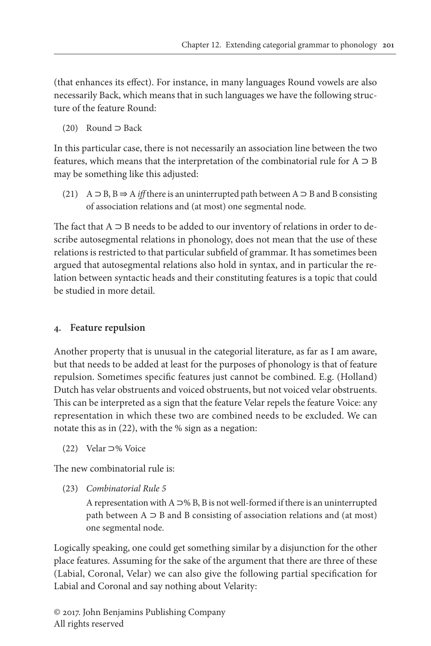(that enhances its effect). For instance, in many languages Round vowels are also necessarily Back, which means that in such languages we have the following structure of the feature Round:

(20) Round ⊃ Back

In this particular case, there is not necessarily an association line between the two features, which means that the interpretation of the combinatorial rule for  $A \supset B$ may be something like this adjusted:

(21) A ⊃ B, B ⇒ A *iff* there is an uninterrupted path between A ⊃ B and B consisting of association relations and (at most) one segmental node.

The fact that  $A \supset B$  needs to be added to our inventory of relations in order to describe autosegmental relations in phonology, does not mean that the use of these relations is restricted to that particular subfield of grammar. It has sometimes been argued that autosegmental relations also hold in syntax, and in particular the relation between syntactic heads and their constituting features is a topic that could be studied in more detail.

## **4. Feature repulsion**

Another property that is unusual in the categorial literature, as far as I am aware, but that needs to be added at least for the purposes of phonology is that of feature repulsion. Sometimes specific features just cannot be combined. E.g. (Holland) Dutch has velar obstruents and voiced obstruents, but not voiced velar obstruents. This can be interpreted as a sign that the feature Velar repels the feature Voice: any representation in which these two are combined needs to be excluded. We can notate this as in (22), with the % sign as a negation:

(22) Velar ⊃% Voice

The new combinatorial rule is:

(23) *Combinatorial Rule 5*

A representation with  $A \supset W B$ , B is not well-formed if there is an uninterrupted path between  $A \supseteq B$  and B consisting of association relations and (at most) one segmental node.

Logically speaking, one could get something similar by a disjunction for the other place features. Assuming for the sake of the argument that there are three of these (Labial, Coronal, Velar) we can also give the following partial specification for Labial and Coronal and say nothing about Velarity: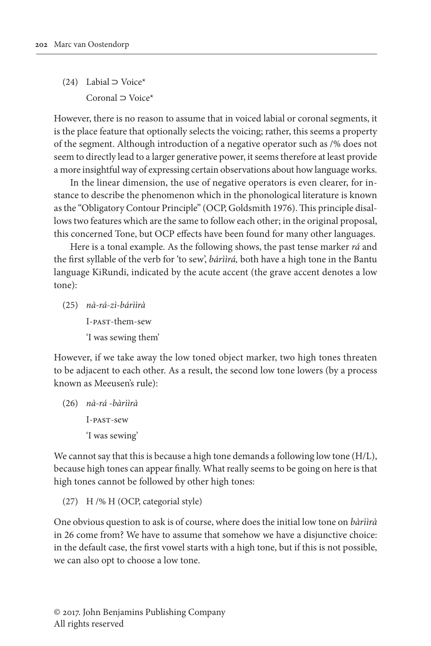(24) Labial ⊃ Voice\* Coronal ⊃ Voice\*

However, there is no reason to assume that in voiced labial or coronal segments, it is the place feature that optionally selects the voicing; rather, this seems a property of the segment. Although introduction of a negative operator such as /% does not seem to directly lead to a larger generative power, it seems therefore at least provide a more insightful way of expressing certain observations about how language works.

In the linear dimension, the use of negative operators is even clearer, for instance to describe the phenomenon which in the phonological literature is known as the "Obligatory Contour Principle" (OCP, [Goldsmith 1976](#page-12-6)). This principle disallows two features which are the same to follow each other; in the original proposal, this concerned Tone, but OCP effects have been found for many other languages.

Here is a tonal example. As the following shows, the past tense marker *rá* and the first syllable of the verb for 'to sew', *bárììrá,* both have a high tone in the Bantu language KiRundi, indicated by the acute accent (the grave accent denotes a low tone):

(25) *nà-rá-zì-bárììrà* I-past-them-sew 'I was sewing them'

However, if we take away the low toned object marker, two high tones threaten to be adjacent to each other. As a result, the second low tone lowers (by a process known as Meeusen's rule):

(26) *nà-rá -bàrììrà* I-past-sew 'I was sewing'

We cannot say that this is because a high tone demands a following low tone (H/L), because high tones can appear finally. What really seems to be going on here is that high tones cannot be followed by other high tones:

(27) H /% H (OCP, categorial style)

One obvious question to ask is of course, where does the initial low tone on *bàrììrà* in [26](#page-1-0) come from? We have to assume that somehow we have a disjunctive choice: in the default case, the first vowel starts with a high tone, but if this is not possible, we can also opt to choose a low tone.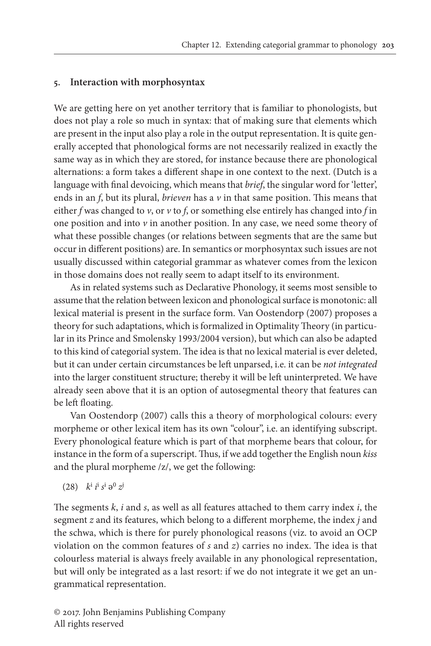#### **5. Interaction with morphosyntax**

We are getting here on yet another territory that is familiar to phonologists, but does not play a role so much in syntax: that of making sure that elements which are present in the input also play a role in the output representation. It is quite generally accepted that phonological forms are not necessarily realized in exactly the same way as in which they are stored, for instance because there are phonological alternations: a form takes a different shape in one context to the next. (Dutch is a language with final devoicing, which means that *brief*, the singular word for 'letter', ends in an *f*, but its plural, *brieven* has a *v* in that same position. This means that either *f* was changed to *v*, or *v* to *f*, or something else entirely has changed into *f* in one position and into  $\nu$  in another position. In any case, we need some theory of what these possible changes (or relations between segments that are the same but occur in different positions) are. In semantics or morphosyntax such issues are not usually discussed within categorial grammar as whatever comes from the lexicon in those domains does not really seem to adapt itself to its environment.

As in related systems such as Declarative Phonology, it seems most sensible to assume that the relation between lexicon and phonological surface is monotonic: all lexical material is present in the surface form. [Van Oostendorp \(2007\)](#page-13-14) proposes a theory for such adaptations, which is formalized in Optimality Theory (in particular in its Prince and Smolensky 1993/2004 version), but which can also be adapted to this kind of categorial system. The idea is that no lexical material is ever deleted, but it can under certain circumstances be left unparsed, i.e. it can be *not integrated* into the larger constituent structure; thereby it will be left uninterpreted. We have already seen above that it is an option of autosegmental theory that features can be left floating.

[Van Oostendorp \(2007\)](#page-13-14) calls this a theory of morphological colours: every morpheme or other lexical item has its own "colour", i.e. an identifying subscript. Every phonological feature which is part of that morpheme bears that colour, for instance in the form of a superscript. Thus, if we add together the English noun *kiss* and the plural morpheme /z/, we get the following:

$$
(28) \quad k^i \, i^i \, s^i \, \vartheta^0 \, z^j
$$

The segments *k*, *i* and *s*, as well as all features attached to them carry index *i*, the segment *z* and its features, which belong to a different morpheme, the index *j* and the schwa, which is there for purely phonological reasons (viz. to avoid an OCP violation on the common features of *s* and *z*) carries no index. The idea is that colourless material is always freely available in any phonological representation, but will only be integrated as a last resort: if we do not integrate it we get an ungrammatical representation.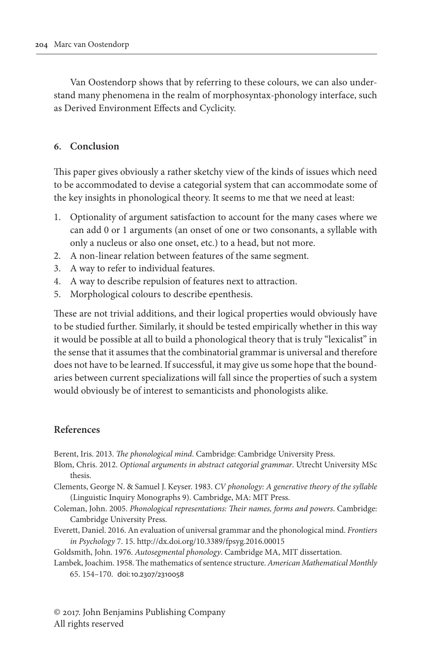Van Oostendorp shows that by referring to these colours, we can also understand many phenomena in the realm of morphosyntax-phonology interface, such as Derived Environment Effects and Cyclicity.

#### **6. Conclusion**

This paper gives obviously a rather sketchy view of the kinds of issues which need to be accommodated to devise a categorial system that can accommodate some of the key insights in phonological theory. It seems to me that we need at least:

- 1. Optionality of argument satisfaction to account for the many cases where we can add 0 or 1 arguments (an onset of one or two consonants, a syllable with only a nucleus or also one onset, etc.) to a head, but not more.
- 2. A non-linear relation between features of the same segment.
- 3. A way to refer to individual features.
- 4. A way to describe repulsion of features next to attraction.
- 5. Morphological colours to describe epenthesis.

These are not trivial additions, and their logical properties would obviously have to be studied further. Similarly, it should be tested empirically whether in this way it would be possible at all to build a phonological theory that is truly "lexicalist" in the sense that it assumes that the combinatorial grammar is universal and therefore does not have to be learned. If successful, it may give us some hope that the boundaries between current specializations will fall since the properties of such a system would obviously be of interest to semanticists and phonologists alike.

#### **References**

<span id="page-12-5"></span>Berent, Iris. 2013. *The phonological mind*. Cambridge: Cambridge University Press.

- <span id="page-12-3"></span>Blom, Chris. 2012. *Optional arguments in abstract categorial grammar*. Utrecht University MSc thesis.
- <span id="page-12-2"></span>Clements, George N. & Samuel J. Keyser. 1983. *CV phonology: A generative theory of the syllable* (Linguistic Inquiry Monographs 9). Cambridge, MA: MIT Press.
- <span id="page-12-1"></span>Coleman, John. 2005. *Phonological representations: Their names, forms and powers*. Cambridge: Cambridge University Press.
- <span id="page-12-4"></span>Everett, Daniel. 2016. An evaluation of universal grammar and the phonological mind. *Frontiers in Psychology* 7. 15.<http://dx.doi.org/10.3389/fpsyg.2016.00015>
- <span id="page-12-6"></span>Goldsmith, John. 1976. *Autosegmental phonology*. Cambridge MA, MIT dissertation.
- <span id="page-12-0"></span>Lambek, Joachim. 1958. The mathematics of sentence structure. *American Mathematical Monthly* 65. 154–170. doi:[10.2307/2310058](http://dx.doi.org/10.2307/2310058)